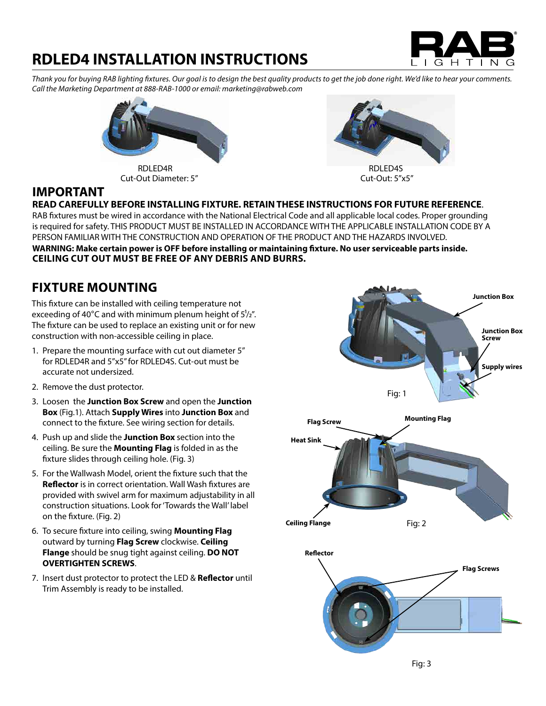# GHTI <sup>N</sup>

## **RDLED4 INSTALLATION INSTRUCTIONS**

*Thank you for buying RAB lighting fixtures. Our goal is to design the best quality products to get the job done right. We'd like to hear your comments. Call the Marketing Department at 888-RAB-1000 or email: marketing@rabweb.com*



Cut-Out Diameter: 5" Cut-Out: 5"x5"



### **IMPORTANT**

#### **READ CAREFULLY BEFORE INSTALLING FIXTURE. RETAIN THESE INSTRUCTIONS FOR FUTURE REFERENCE**.

RAB fixtures must be wired in accordance with the National Electrical Code and all applicable local codes. Proper grounding is required for safety. THIS PRODUCT MUST BE INSTALLED IN ACCORDANCE WITH THE APPLICABLE INSTALLATION CODE BY A PERSON FAMILIAR WITH THE CONSTRUCTION AND OPERATION OF THE PRODUCT AND THE HAZARDS INVOLVED.

**WARNING: Make certain power is OFF before installing or maintaining fixture. No user serviceable parts inside. CEILING CUT OUT MUST BE FREE OF ANY DEBRIS AND BURRS.**

### **FIXTURE MOUNTING**

This fixture can be installed with ceiling temperature not exceeding of 40 $^{\circ}$ C and with minimum plenum height of  $5\frac{1}{2}$ ". The fixture can be used to replace an existing unit or for new construction with non-accessible ceiling in place.

- 1. Prepare the mounting surface with cut out diameter 5" for RDLED4R and 5"x5" for RDLED4S. Cut-out must be accurate not undersized.
- 2. Remove the dust protector.
- 3. Loosen the **Junction Box Screw** and open the **Junction Box** (Fig.1). Attach **Supply Wires** into **Junction Box** and connect to the fixture. See wiring section for details.
- 4. Push up and slide the **Junction Box** section into the ceiling. Be sure the **Mounting Flag** is folded in as the fixture slides through ceiling hole. (Fig. 3)
- 5. For the Wallwash Model, orient the fixture such that the **Reflector** is in correct orientation. Wall Wash fixtures are provided with swivel arm for maximum adjustability in all construction situations. Look for 'Towards the Wall' label on the fixture. (Fig. 2)
- 6. To secure fixture into ceiling, swing **Mounting Flag** outward by turning **Flag Screw** clockwise. **Ceiling Flange** should be snug tight against ceiling. **DO NOT OVERTIGHTEN SCREWS**.
- 7. Insert dust protector to protect the LED & **Reflector** until Trim Assembly is ready to be installed.

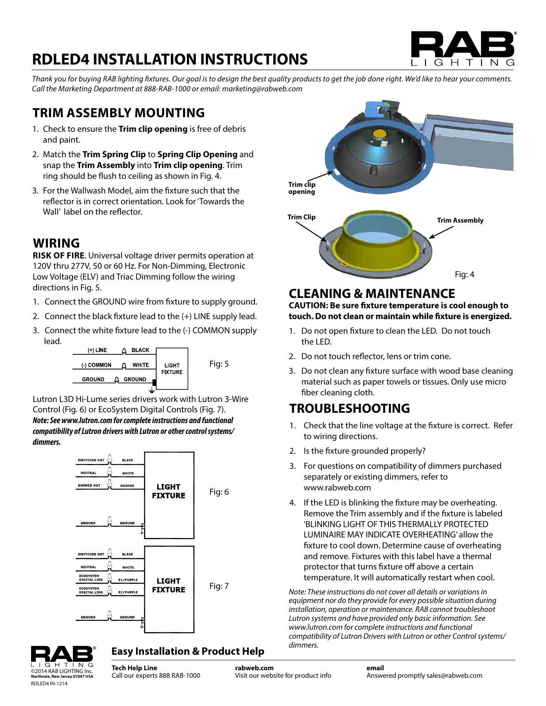# **RDLED4 INSTALLATION INSTRUCTIONS**



*Thank you for buying RAB lighting fixtures. Our goal is to design the best quality products to get the job done right. We'd like to hear your comments. Call the Marketing Department at 888-RAB-1000 or email: marketing@rabweb.com*

### **TRIM ASSEMBLY MOUNTING**

- 1. Check to ensure the **Trim clip opening** is free of debris and paint.
- 2. Match the **Trim Spring Clip** to **Spring Clip Opening** and snap the **Trim Assembly** into **Trim clip opening**. Trim ring should be flush to ceiling as shown in Fig. 4.
- 3. For the Wallwash Model, aim the fixture such that the reflector is in correct orientation. Look for 'Towards the Wall' label on the reflector.

### **WIRING**

**RISK OF FIRE**. Universal voltage driver permits operation at 120V thru 277V, 50 or 60 Hz. For Non-Dimming, Electronic Low Voltage (ELV) and Triac Dimming follow the wiring directions in Fig. 5.

- 1. Connect the GROUND wire from fixture to supply ground.
- 2. Connect the black fixture lead to the (+) LINE supply lead.
- 3. Connect the white fixture lead to the (-) COMMON supply lead.



Lutron L3D Hi-Lume series drivers work with Lutron 3-Wire Control (Fig. 6) or EcoSystem Digital Controls (Fig. 7). *Note: See www.lutron.com for complete instructions and functional compatibility of Lutron drivers with Lutron or other control systems/ dimmers.*





#### **Easy Installation & Product Help**

**Tech Help Line** Call our experts 888 RAB-1000 **Trim clip opening Trim Clip Trim Assembly** Fig: 4

#### **CLEANING & MAINTENANCE**

**CAUTION: Be sure fixture temperature is cool enough to touch. Do not clean or maintain while fixture is energized.**

- 1. Do not open fixture to clean the LED. Do not touch the LED.
- 2. Do not touch reflector, lens or trim cone.
- 3. Do not clean any fixture surface with wood base cleaning material such as paper towels or tissues. Only use micro fiber cleaning cloth.

### **TROUBLESHOOTING**

- 1. Check that the line voltage at the fixture is correct. Refer to wiring directions.
- 2. Is the fixture grounded properly?
- 3. For questions on compatibility of dimmers purchased separately or existing dimmers, refer to www.rabweb.com
- 4. If the LED is blinking the fixture may be overheating. Remove the Trim assembly and if the fixture is labeled 'BLINKING LIGHT OF THIS THERMALLY PROTECTED LUMINAIRE MAY INDICATE OVERHEATING' allow the fixture to cool down. Determine cause of overheating and remove. Fixtures with this label have a thermal protector that turns fixture off above a certain temperature. It will automatically restart when cool.

Fig: 7 *Note: These instructions do not cover all details or variations in equipment nor do they provide for every possible situation during installation, operation or maintenance. RAB cannot troubleshoot Lutron systems and have provided only basic information. See www.lutron.com for complete instructions and functional compatibility of Lutron Drivers with Lutron or other Control systems/ dimmers.*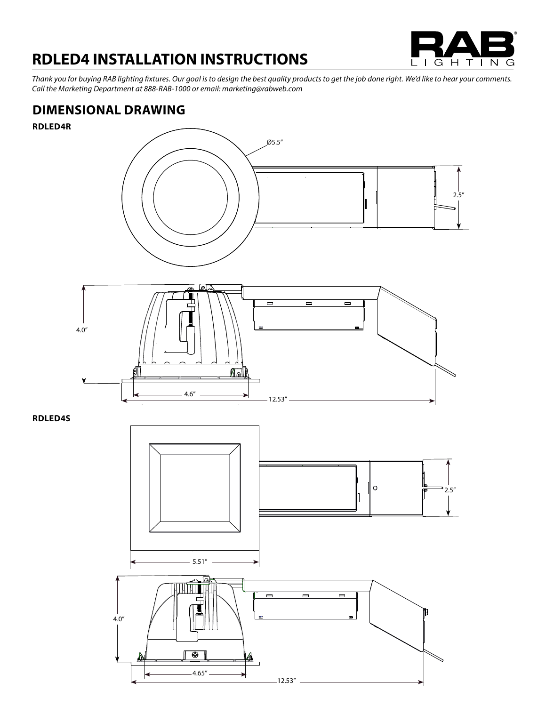

## **RDLED4 INSTALLATION INSTRUCTIONS**

*Thank you for buying RAB lighting fixtures. Our goal is to design the best quality products to get the job done right. We'd like to hear your comments. Call the Marketing Department at 888-RAB-1000 or email: marketing@rabweb.com*

### **DIMENSIONAL DRAWING**

**RDLED4R**



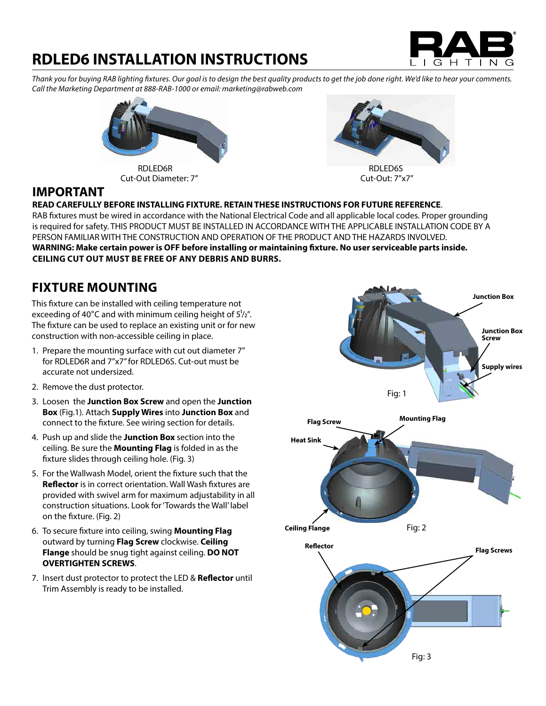# G H  $\top$

## **RDLED6 INSTALLATION INSTRUCTIONS**

*Thank you for buying RAB lighting fixtures. Our goal is to design the best quality products to get the job done right. We'd like to hear your comments. Call the Marketing Department at 888-RAB-1000 or email: marketing@rabweb.com*



Cut-Out Diameter: 7" Cut-Out: 7"x7"



### **IMPORTANT**

#### **READ CAREFULLY BEFORE INSTALLING FIXTURE. RETAIN THESE INSTRUCTIONS FOR FUTURE REFERENCE**.

RAB fixtures must be wired in accordance with the National Electrical Code and all applicable local codes. Proper grounding is required for safety. THIS PRODUCT MUST BE INSTALLED IN ACCORDANCE WITH THE APPLICABLE INSTALLATION CODE BY A PERSON FAMILIAR WITH THE CONSTRUCTION AND OPERATION OF THE PRODUCT AND THE HAZARDS INVOLVED. **WARNING: Make certain power is OFF before installing or maintaining fixture. No user serviceable parts inside. CEILING CUT OUT MUST BE FREE OF ANY DEBRIS AND BURRS.**

### **FIXTURE MOUNTING**

This fixture can be installed with ceiling temperature not exceeding of 40 $\degree$ C and with minimum ceiling height of  $5\frac{1}{2}$ ". The fixture can be used to replace an existing unit or for new 4 construction with non-accessible ceiling in place.

- 1. Prepare the mounting surface with cut out diameter 7" for RDLED6R and 7"x7" for RDLED6S. Cut-out must be accurate not undersized.
- 2. Remove the dust protector.
- 3. Loosen the **Junction Box Screw** and open the **Junction**  4 **Box** (Fig.1). Attach **Supply Wires** into **Junction Box** and connect to the fixture. See wiring section for details.
- 4. Push up and slide the **Junction Box** section into the ceiling. Be sure the **Mounting Flag** is folded in as the fixture slides through ceiling hole. (Fig. 3)
- 5. For the Wallwash Model, orient the fixture such that the provided with swivel arm for maximum adjustability in all construction situations. Look for 'Towards the Wall' label on the fixture. (Fig. 2)
- 6. To secure fixture into ceiling, swing **Mounting Flag** outward by turning **Flag Screw** clockwise. **Ceiling OVERTIGHTEN SCREWS**.
- 7. Insert dust protector to protect the LED & **Reflector** until Trim Assembly is ready to be installed.

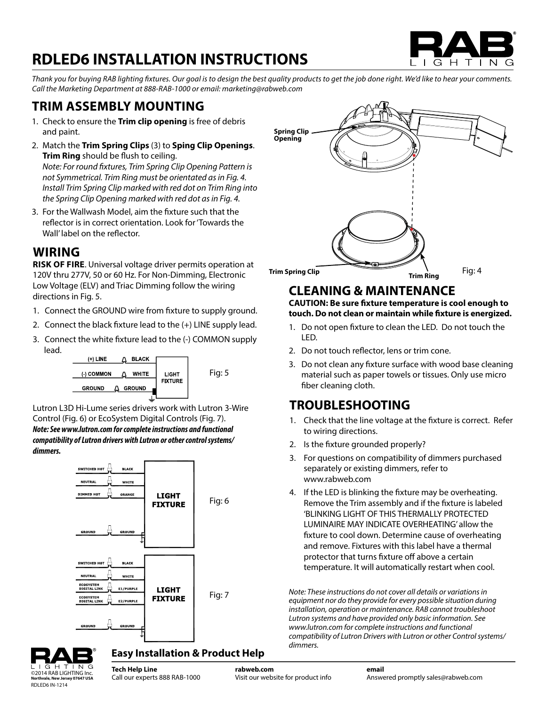# **RDLED6 INSTALLATION INSTRUCTIONS**



*Thank you for buying RAB lighting fixtures. Our goal is to design the best quality products to get the job done right. We'd like to hear your comments. Call the Marketing Department at 888-RAB-1000 or email: marketing@rabweb.com*

### **TRIM ASSEMBLY MOUNTING**

- 1. Check to ensure the **Trim clip opening** is free of debris and paint.
- 2. Match the **Trim Spring Clips** (3) to **Sping Clip Openings**. D**Trim Ring** should be flush to ceiling. *Note: For round fixtures, Trim Spring Clip Opening Pattern is not Symmetrical. Trim Ring must be orientated as in Fig. 4. Install Trim Spring Clip marked with red dot on Trim Ring into the Spring Clip Opening marked with red dot as in Fig. 4.*
- 3. For the Wallwash Model, aim the fixture such that the Wall' label on the reflector.

#### **WIRING**

**RISK OF FIRE**. Universal voltage driver permits operation at 120V thru 277V, 50 or 60 Hz. For Non-Dimming, Electronic Low Voltage (ELV) and Triac Dimming follow the wiring directions in Fig. 5.

- 1. Connect the GROUND wire from fixture to supply ground.
- 2. Connect the black fixture lead to the (+) LINE supply lead.
- 3. Connect the white fixture lead to the (-) COMMON supply lead.



Lutron L3D Hi-Lume series drivers work with Lutron 3-Wire Control (Fig. 6) or EcoSystem Digital Controls (Fig. 7). *Note: See www.lutron.com for complete instructions and functional compatibility of Lutron drivers with Lutron or other control systems/ dimmers.*





### **CLEANING & MAINTENANCE**

#### **CAUTION: Be sure fixture temperature is cool enough to** touch. Do not clean or maintain while fixture is energized.

- 1. Do not open fixture to clean the LED. Do not touch the LED. <sup>1</sup> <sup>4</sup> $\overline{\phantom{a}}$  , and  $\overline{\phantom{a}}$  , and  $\overline{\phantom{a}}$ 
	- 2. Do not touch reflector, lens or trim cone.
	- 3. Do not clean any fixture surface with wood base cleaning material such as paper towels or tissues. Only use micro fiber cleaning cloth.

### **TROUBLESHOOTING**

- any represent that the line voltage at the fixture is correct. Refer and the Matthout Theorem and the Matthout Theorem and the Matthout Theorem and Theorem and Theorem and Theorem and Theorem and Theorem and Theorem and Th to wiring directions. ic voitag
	- 2. Is the fixture grounded properly?
	- 3. For questions on compatibility of dimmers purchased separately or existing dimmers, refer to www.rabweb.com
	- 4. If the LED is blinking the fixture may be overheating. Remove the Trim assembly and if the fixture is labeled 'BLINKING LIGHT OF THIS THERMALLY PROTECTED LUMINAIRE MAY INDICATE OVERHEATING' allow the fixture to cool down. Determine cause of overheating and remove. Fixtures with this label have a thermal protector that turns fixture off above a certain temperature. It will automatically restart when cool.

Fig: 7 *Note: These instructions do not cover all details or variations in equipment nor do they provide for every possible situation during installation, operation or maintenance. RAB cannot troubleshoot Lutron systems and have provided only basic information. See www.lutron.com for complete instructions and functional compatibility of Lutron Drivers with Lutron or other Control systems/ dimmers.*



#### **Easy Installation & Product Help**

**Tech Help Line** ©2014 RAB LIGHTING Inc. Part of the interpertunce of the Indian Collection of the Indian Collection of the Indian Collection of the Indian Collection of the Indian Collection of the Indian Collection of the Indian Collecti **rabweb.com** Visit our website for product info